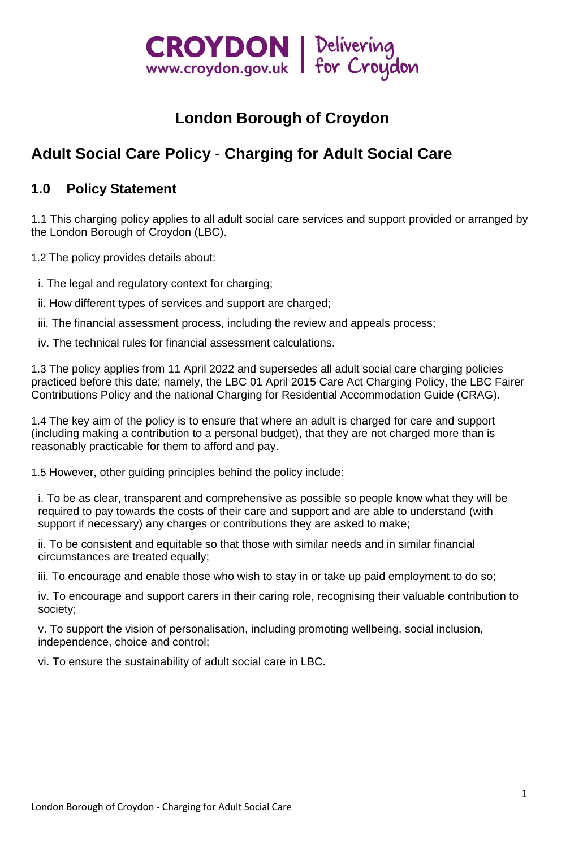

# **London Borough of Croydon**

# **Adult Social Care Policy** - **Charging for Adult Social Care**

# **1.0 Policy Statement**

1.1 This charging policy applies to all adult social care services and support provided or arranged by the London Borough of Croydon (LBC).

1.2 The policy provides details about:

i. The legal and regulatory context for charging;

- ii. How different types of services and support are charged;
- iii. The financial assessment process, including the review and appeals process;
- iv. The technical rules for financial assessment calculations.

1.3 The policy applies from 11 April 2022 and supersedes all adult social care charging policies practiced before this date; namely, the LBC 01 April 2015 Care Act Charging Policy, the LBC Fairer Contributions Policy and the national Charging for Residential Accommodation Guide (CRAG).

1.4 The key aim of the policy is to ensure that where an adult is charged for care and support (including making a contribution to a personal budget), that they are not charged more than is reasonably practicable for them to afford and pay.

1.5 However, other guiding principles behind the policy include:

i. To be as clear, transparent and comprehensive as possible so people know what they will be required to pay towards the costs of their care and support and are able to understand (with support if necessary) any charges or contributions they are asked to make;

ii. To be consistent and equitable so that those with similar needs and in similar financial circumstances are treated equally;

iii. To encourage and enable those who wish to stay in or take up paid employment to do so;

iv. To encourage and support carers in their caring role, recognising their valuable contribution to society;

v. To support the vision of personalisation, including promoting wellbeing, social inclusion, independence, choice and control;

vi. To ensure the sustainability of adult social care in LBC.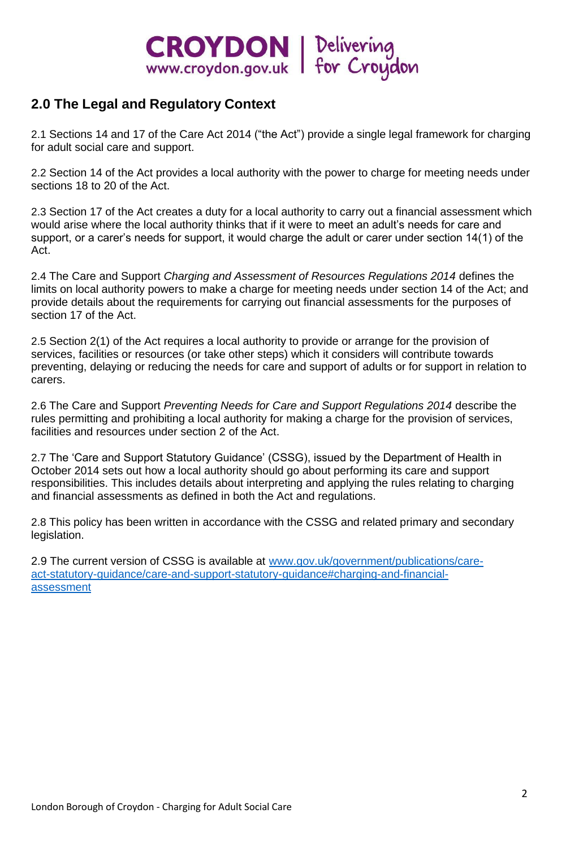

# **2.0 The Legal and Regulatory Context**

2.1 Sections 14 and 17 of the Care Act 2014 ("the Act") provide a single legal framework for charging for adult social care and support.

2.2 Section 14 of the Act provides a local authority with the power to charge for meeting needs under sections 18 to 20 of the Act.

2.3 Section 17 of the Act creates a duty for a local authority to carry out a financial assessment which would arise where the local authority thinks that if it were to meet an adult's needs for care and support, or a carer's needs for support, it would charge the adult or carer under section 14(1) of the Act.

2.4 The Care and Support *Charging and Assessment of Resources Regulations 2014* defines the limits on local authority powers to make a charge for meeting needs under section 14 of the Act; and provide details about the requirements for carrying out financial assessments for the purposes of section 17 of the Act.

2.5 Section 2(1) of the Act requires a local authority to provide or arrange for the provision of services, facilities or resources (or take other steps) which it considers will contribute towards preventing, delaying or reducing the needs for care and support of adults or for support in relation to carers.

2.6 The Care and Support *Preventing Needs for Care and Support Regulations 2014* describe the rules permitting and prohibiting a local authority for making a charge for the provision of services, facilities and resources under section 2 of the Act.

2.7 The 'Care and Support Statutory Guidance' (CSSG), issued by the Department of Health in October 2014 sets out how a local authority should go about performing its care and support responsibilities. This includes details about interpreting and applying the rules relating to charging and financial assessments as defined in both the Act and regulations.

2.8 This policy has been written in accordance with the CSSG and related primary and secondary legislation.

2.9 The current version of CSSG is available at [www.gov.uk/government/publications/care](http://www.gov.uk/government/publications/care-act-statutory-guidance/care-and-support-statutory-guidance#charging-and-financial-assessment)[act-statutory-guidance/care-and-support-statutory-guidance#charging-and-financial](http://www.gov.uk/government/publications/care-act-statutory-guidance/care-and-support-statutory-guidance#charging-and-financial-assessment)[assessment](http://www.gov.uk/government/publications/care-act-statutory-guidance/care-and-support-statutory-guidance#charging-and-financial-assessment)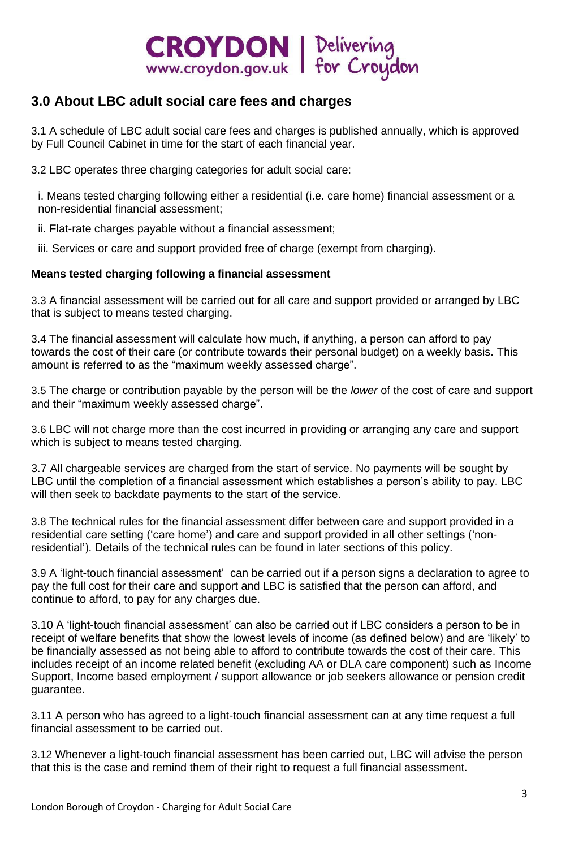

# **3.0 About LBC adult social care fees and charges**

3.1 A schedule of LBC adult social care fees and charges is published annually, which is approved by Full Council Cabinet in time for the start of each financial year.

3.2 LBC operates three charging categories for adult social care:

i. Means tested charging following either a residential (i.e. care home) financial assessment or a non-residential financial assessment;

ii. Flat-rate charges payable without a financial assessment;

iii. Services or care and support provided free of charge (exempt from charging).

# **Means tested charging following a financial assessment**

3.3 A financial assessment will be carried out for all care and support provided or arranged by LBC that is subject to means tested charging.

3.4 The financial assessment will calculate how much, if anything, a person can afford to pay towards the cost of their care (or contribute towards their personal budget) on a weekly basis. This amount is referred to as the "maximum weekly assessed charge".

3.5 The charge or contribution payable by the person will be the *lower* of the cost of care and support and their "maximum weekly assessed charge".

3.6 LBC will not charge more than the cost incurred in providing or arranging any care and support which is subject to means tested charging.

3.7 All chargeable services are charged from the start of service. No payments will be sought by LBC until the completion of a financial assessment which establishes a person's ability to pay. LBC will then seek to backdate payments to the start of the service.

3.8 The technical rules for the financial assessment differ between care and support provided in a residential care setting ('care home') and care and support provided in all other settings ('nonresidential'). Details of the technical rules can be found in later sections of this policy.

3.9 A 'light-touch financial assessment' can be carried out if a person signs a declaration to agree to pay the full cost for their care and support and LBC is satisfied that the person can afford, and continue to afford, to pay for any charges due.

3.10 A 'light-touch financial assessment' can also be carried out if LBC considers a person to be in receipt of welfare benefits that show the lowest levels of income (as defined below) and are 'likely' to be financially assessed as not being able to afford to contribute towards the cost of their care. This includes receipt of an income related benefit (excluding AA or DLA care component) such as Income Support, Income based employment / support allowance or job seekers allowance or pension credit guarantee.

3.11 A person who has agreed to a light-touch financial assessment can at any time request a full financial assessment to be carried out.

3.12 Whenever a light-touch financial assessment has been carried out, LBC will advise the person that this is the case and remind them of their right to request a full financial assessment.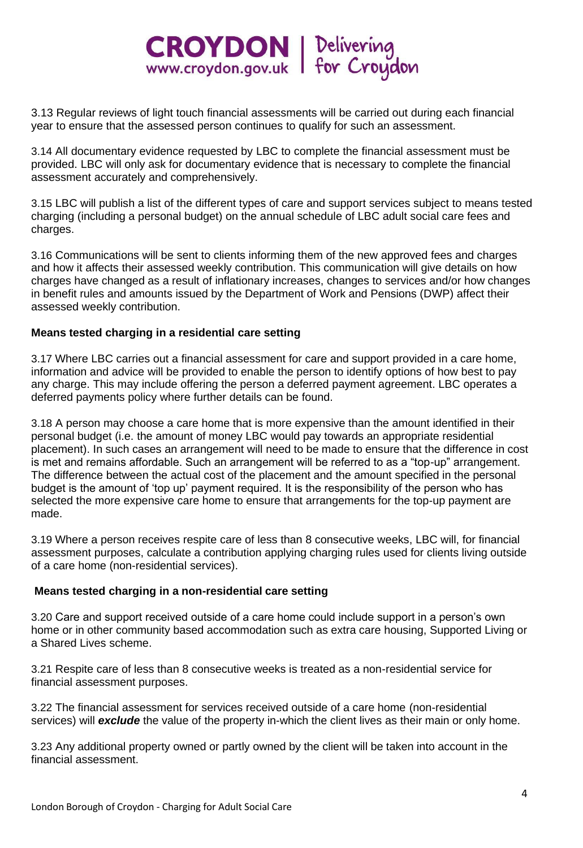3.13 Regular reviews of light touch financial assessments will be carried out during each financial year to ensure that the assessed person continues to qualify for such an assessment.

3.14 All documentary evidence requested by LBC to complete the financial assessment must be provided. LBC will only ask for documentary evidence that is necessary to complete the financial assessment accurately and comprehensively.

3.15 LBC will publish a list of the different types of care and support services subject to means tested charging (including a personal budget) on the annual schedule of LBC adult social care fees and charges.

3.16 Communications will be sent to clients informing them of the new approved fees and charges and how it affects their assessed weekly contribution. This communication will give details on how charges have changed as a result of inflationary increases, changes to services and/or how changes in benefit rules and amounts issued by the Department of Work and Pensions (DWP) affect their assessed weekly contribution.

# **Means tested charging in a residential care setting**

3.17 Where LBC carries out a financial assessment for care and support provided in a care home, information and advice will be provided to enable the person to identify options of how best to pay any charge. This may include offering the person a deferred payment agreement. LBC operates a deferred payments policy where further details can be found.

3.18 A person may choose a care home that is more expensive than the amount identified in their personal budget (i.e. the amount of money LBC would pay towards an appropriate residential placement). In such cases an arrangement will need to be made to ensure that the difference in cost is met and remains affordable. Such an arrangement will be referred to as a "top-up" arrangement. The difference between the actual cost of the placement and the amount specified in the personal budget is the amount of 'top up' payment required. It is the responsibility of the person who has selected the more expensive care home to ensure that arrangements for the top-up payment are made.

3.19 Where a person receives respite care of less than 8 consecutive weeks, LBC will, for financial assessment purposes, calculate a contribution applying charging rules used for clients living outside of a care home (non-residential services).

# **Means tested charging in a non-residential care setting**

3.20 Care and support received outside of a care home could include support in a person's own home or in other community based accommodation such as extra care housing, Supported Living or a Shared Lives scheme.

3.21 Respite care of less than 8 consecutive weeks is treated as a non-residential service for financial assessment purposes.

3.22 The financial assessment for services received outside of a care home (non-residential services) will *exclude* the value of the property in-which the client lives as their main or only home.

3.23 Any additional property owned or partly owned by the client will be taken into account in the financial assessment.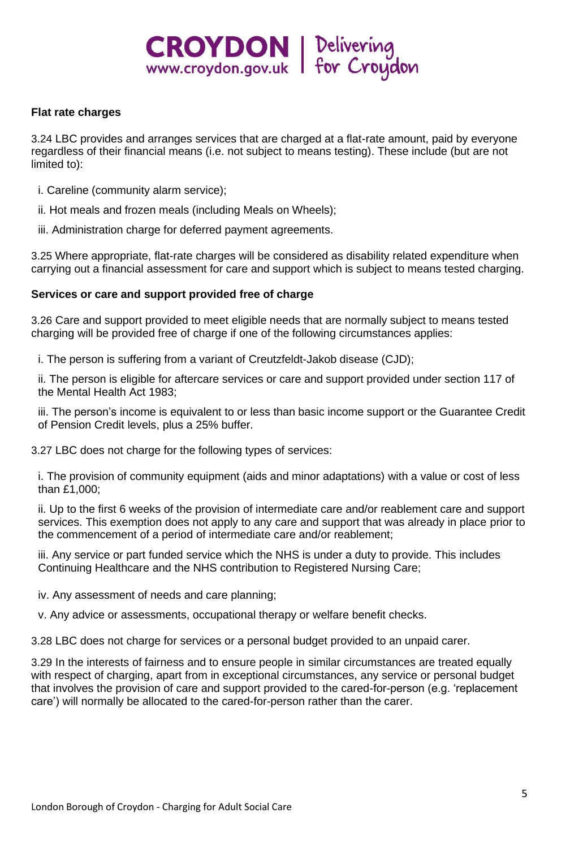#### **Flat rate charges**

3.24 LBC provides and arranges services that are charged at a flat-rate amount, paid by everyone regardless of their financial means (i.e. not subject to means testing). These include (but are not limited to):

- i. Careline (community alarm service);
- ii. Hot meals and frozen meals (including Meals on Wheels);
- iii. Administration charge for deferred payment agreements.

3.25 Where appropriate, flat-rate charges will be considered as disability related expenditure when carrying out a financial assessment for care and support which is subject to means tested charging.

#### **Services or care and support provided free of charge**

3.26 Care and support provided to meet eligible needs that are normally subject to means tested charging will be provided free of charge if one of the following circumstances applies:

i. The person is suffering from a variant of Creutzfeldt-Jakob disease (CJD);

ii. The person is eligible for aftercare services or care and support provided under section 117 of the Mental Health Act 1983;

iii. The person's income is equivalent to or less than basic income support or the Guarantee Credit of Pension Credit levels, plus a 25% buffer.

3.27 LBC does not charge for the following types of services:

i. The provision of community equipment (aids and minor adaptations) with a value or cost of less than £1,000;

ii. Up to the first 6 weeks of the provision of intermediate care and/or reablement care and support services. This exemption does not apply to any care and support that was already in place prior to the commencement of a period of intermediate care and/or reablement;

iii. Any service or part funded service which the NHS is under a duty to provide. This includes Continuing Healthcare and the NHS contribution to Registered Nursing Care;

iv. Any assessment of needs and care planning;

v. Any advice or assessments, occupational therapy or welfare benefit checks.

3.28 LBC does not charge for services or a personal budget provided to an unpaid carer.

3.29 In the interests of fairness and to ensure people in similar circumstances are treated equally with respect of charging, apart from in exceptional circumstances, any service or personal budget that involves the provision of care and support provided to the cared-for-person (e.g. 'replacement care') will normally be allocated to the cared-for-person rather than the carer.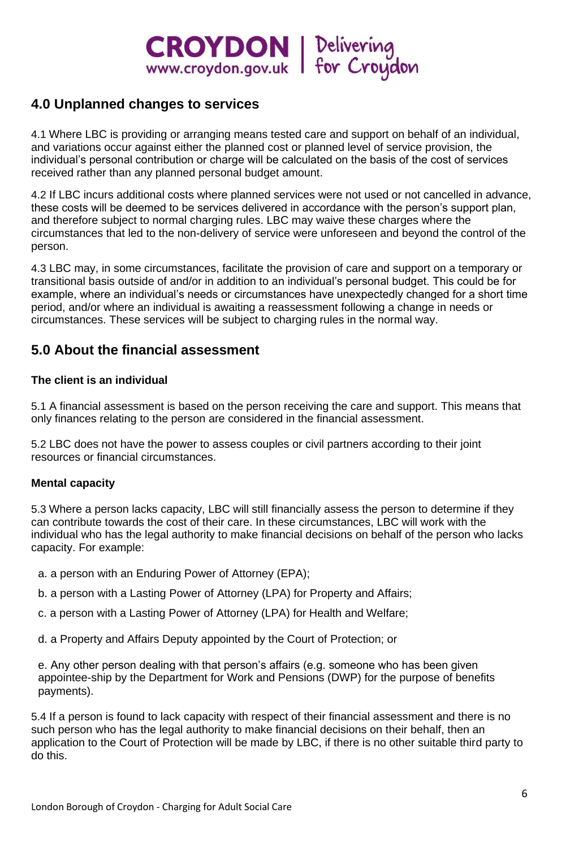# **4.0 Unplanned changes to services**

4.1 Where LBC is providing or arranging means tested care and support on behalf of an individual, and variations occur against either the planned cost or planned level of service provision, the individual's personal contribution or charge will be calculated on the basis of the cost of services received rather than any planned personal budget amount.

4.2 If LBC incurs additional costs where planned services were not used or not cancelled in advance, these costs will be deemed to be services delivered in accordance with the person's support plan, and therefore subject to normal charging rules. LBC may waive these charges where the circumstances that led to the non-delivery of service were unforeseen and beyond the control of the person.

4.3 LBC may, in some circumstances, facilitate the provision of care and support on a temporary or transitional basis outside of and/or in addition to an individual's personal budget. This could be for example, where an individual's needs or circumstances have unexpectedly changed for a short time period, and/or where an individual is awaiting a reassessment following a change in needs or circumstances. These services will be subject to charging rules in the normal way.

# **5.0 About the financial assessment**

# **The client is an individual**

5.1 A financial assessment is based on the person receiving the care and support. This means that only finances relating to the person are considered in the financial assessment.

5.2 LBC does not have the power to assess couples or civil partners according to their joint resources or financial circumstances.

# **Mental capacity**

5.3 Where a person lacks capacity, LBC will still financially assess the person to determine if they can contribute towards the cost of their care. In these circumstances, LBC will work with the individual who has the legal authority to make financial decisions on behalf of the person who lacks capacity. For example:

- a. a person with an Enduring Power of Attorney (EPA);
- b. a person with a Lasting Power of Attorney (LPA) for Property and Affairs;
- c. a person with a Lasting Power of Attorney (LPA) for Health and Welfare;
- d. a Property and Affairs Deputy appointed by the Court of Protection; or

e. Any other person dealing with that person's affairs (e.g. someone who has been given appointee-ship by the Department for Work and Pensions (DWP) for the purpose of benefits payments).

5.4 If a person is found to lack capacity with respect of their financial assessment and there is no such person who has the legal authority to make financial decisions on their behalf, then an application to the Court of Protection will be made by LBC, if there is no other suitable third party to do this.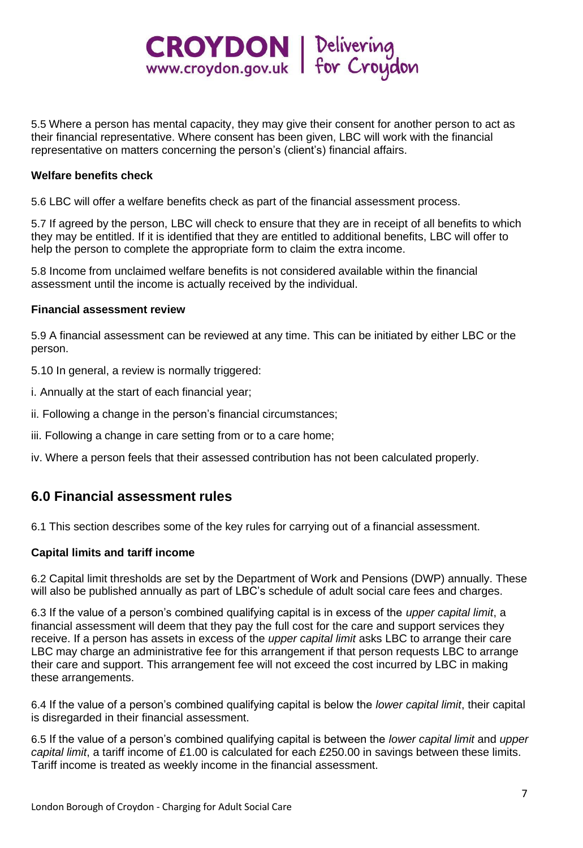5.5 Where a person has mental capacity, they may give their consent for another person to act as their financial representative. Where consent has been given, LBC will work with the financial representative on matters concerning the person's (client's) financial affairs.

# **Welfare benefits check**

5.6 LBC will offer a welfare benefits check as part of the financial assessment process.

5.7 If agreed by the person, LBC will check to ensure that they are in receipt of all benefits to which they may be entitled. If it is identified that they are entitled to additional benefits, LBC will offer to help the person to complete the appropriate form to claim the extra income.

5.8 Income from unclaimed welfare benefits is not considered available within the financial assessment until the income is actually received by the individual.

#### **Financial assessment review**

5.9 A financial assessment can be reviewed at any time. This can be initiated by either LBC or the person.

5.10 In general, a review is normally triggered:

- i. Annually at the start of each financial year;
- ii. Following a change in the person's financial circumstances;
- iii. Following a change in care setting from or to a care home;

iv. Where a person feels that their assessed contribution has not been calculated properly.

# **6.0 Financial assessment rules**

6.1 This section describes some of the key rules for carrying out of a financial assessment.

# **Capital limits and tariff income**

6.2 Capital limit thresholds are set by the Department of Work and Pensions (DWP) annually. These will also be published annually as part of LBC's schedule of adult social care fees and charges.

6.3 If the value of a person's combined qualifying capital is in excess of the *upper capital limit*, a financial assessment will deem that they pay the full cost for the care and support services they receive. If a person has assets in excess of the *upper capital limit* asks LBC to arrange their care LBC may charge an administrative fee for this arrangement if that person requests LBC to arrange their care and support. This arrangement fee will not exceed the cost incurred by LBC in making these arrangements.

6.4 If the value of a person's combined qualifying capital is below the *lower capital limit*, their capital is disregarded in their financial assessment.

6.5 If the value of a person's combined qualifying capital is between the *lower capital limit* and *upper capital limit*, a tariff income of £1.00 is calculated for each £250.00 in savings between these limits. Tariff income is treated as weekly income in the financial assessment.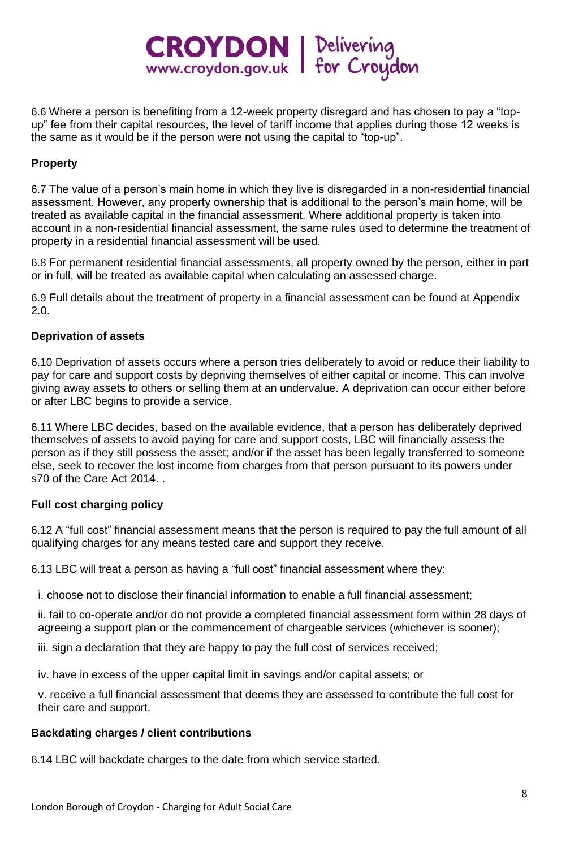6.6 Where a person is benefiting from a 12-week property disregard and has chosen to pay a "topup" fee from their capital resources, the level of tariff income that applies during those 12 weeks is the same as it would be if the person were not using the capital to "top-up".

# **Property**

6.7 The value of a person's main home in which they live is disregarded in a non-residential financial assessment. However, any property ownership that is additional to the person's main home, will be treated as available capital in the financial assessment. Where additional property is taken into account in a non-residential financial assessment, the same rules used to determine the treatment of property in a residential financial assessment will be used.

6.8 For permanent residential financial assessments, all property owned by the person, either in part or in full, will be treated as available capital when calculating an assessed charge.

6.9 Full details about the treatment of property in a financial assessment can be found at Appendix 2.0.

# **Deprivation of assets**

6.10 Deprivation of assets occurs where a person tries deliberately to avoid or reduce their liability to pay for care and support costs by depriving themselves of either capital or income. This can involve giving away assets to others or selling them at an undervalue. A deprivation can occur either before or after LBC begins to provide a service.

6.11 Where LBC decides, based on the available evidence, that a person has deliberately deprived themselves of assets to avoid paying for care and support costs, LBC will financially assess the person as if they still possess the asset; and/or if the asset has been legally transferred to someone else, seek to recover the lost income from charges from that person pursuant to its powers under s70 of the Care Act 2014. .

# **Full cost charging policy**

6.12 A "full cost" financial assessment means that the person is required to pay the full amount of all qualifying charges for any means tested care and support they receive.

6.13 LBC will treat a person as having a "full cost" financial assessment where they:

i. choose not to disclose their financial information to enable a full financial assessment;

ii. fail to co-operate and/or do not provide a completed financial assessment form within 28 days of agreeing a support plan or the commencement of chargeable services (whichever is sooner);

iii. sign a declaration that they are happy to pay the full cost of services received;

iv. have in excess of the upper capital limit in savings and/or capital assets; or

v. receive a full financial assessment that deems they are assessed to contribute the full cost for their care and support.

# **Backdating charges / client contributions**

6.14 LBC will backdate charges to the date from which service started.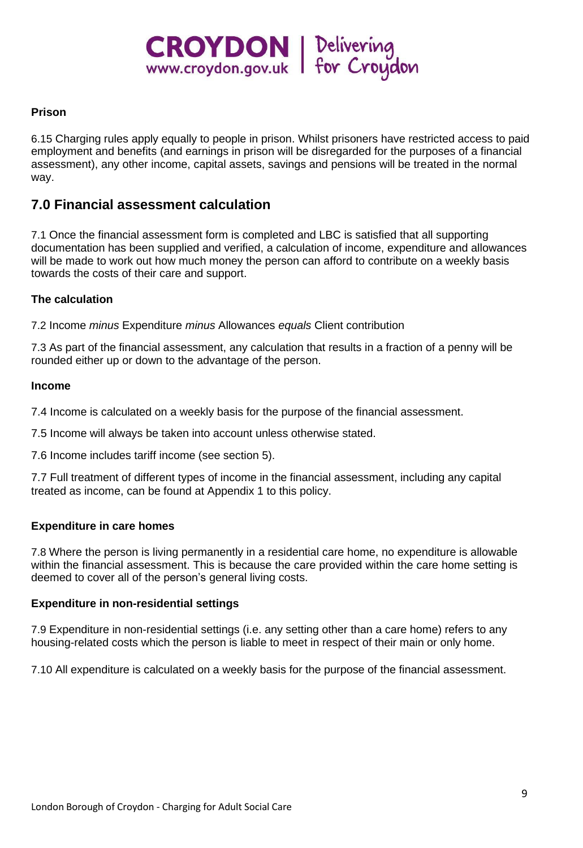

# **Prison**

6.15 Charging rules apply equally to people in prison. Whilst prisoners have restricted access to paid employment and benefits (and earnings in prison will be disregarded for the purposes of a financial assessment), any other income, capital assets, savings and pensions will be treated in the normal way.

# **7.0 Financial assessment calculation**

7.1 Once the financial assessment form is completed and LBC is satisfied that all supporting documentation has been supplied and verified, a calculation of income, expenditure and allowances will be made to work out how much money the person can afford to contribute on a weekly basis towards the costs of their care and support.

# **The calculation**

7.2 Income *minus* Expenditure *minus* Allowances *equals* Client contribution

7.3 As part of the financial assessment, any calculation that results in a fraction of a penny will be rounded either up or down to the advantage of the person.

#### **Income**

7.4 Income is calculated on a weekly basis for the purpose of the financial assessment.

7.5 Income will always be taken into account unless otherwise stated.

7.6 Income includes tariff income (see section 5).

7.7 Full treatment of different types of income in the financial assessment, including any capital treated as income, can be found at Appendix 1 to this policy.

# **Expenditure in care homes**

7.8 Where the person is living permanently in a residential care home, no expenditure is allowable within the financial assessment. This is because the care provided within the care home setting is deemed to cover all of the person's general living costs.

# **Expenditure in non-residential settings**

7.9 Expenditure in non-residential settings (i.e. any setting other than a care home) refers to any housing-related costs which the person is liable to meet in respect of their main or only home.

7.10 All expenditure is calculated on a weekly basis for the purpose of the financial assessment.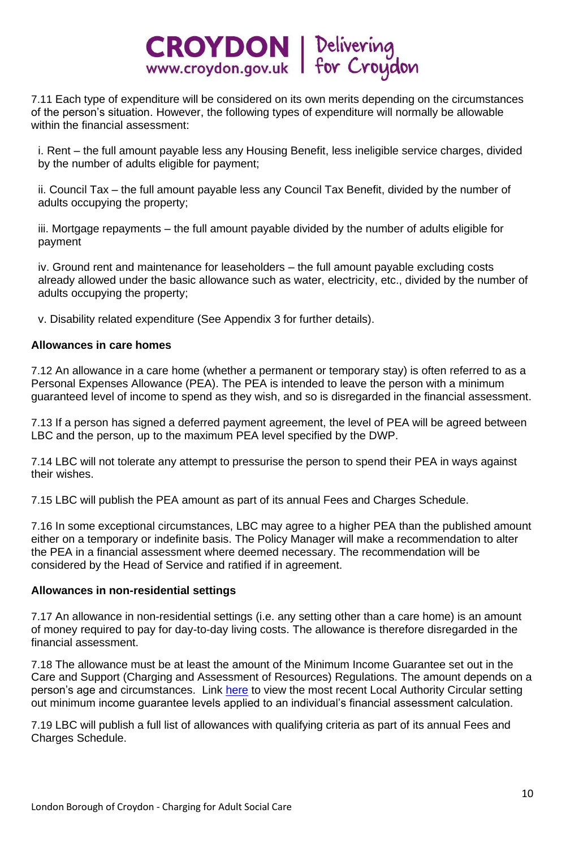7.11 Each type of expenditure will be considered on its own merits depending on the circumstances of the person's situation. However, the following types of expenditure will normally be allowable within the financial assessment:

i. Rent – the full amount payable less any Housing Benefit, less ineligible service charges, divided by the number of adults eligible for payment;

ii. Council Tax – the full amount payable less any Council Tax Benefit, divided by the number of adults occupying the property;

iii. Mortgage repayments – the full amount payable divided by the number of adults eligible for payment

iv. Ground rent and maintenance for leaseholders – the full amount payable excluding costs already allowed under the basic allowance such as water, electricity, etc., divided by the number of adults occupying the property;

v. Disability related expenditure (See Appendix 3 for further details).

#### **Allowances in care homes**

7.12 An allowance in a care home (whether a permanent or temporary stay) is often referred to as a Personal Expenses Allowance (PEA). The PEA is intended to leave the person with a minimum guaranteed level of income to spend as they wish, and so is disregarded in the financial assessment.

7.13 If a person has signed a deferred payment agreement, the level of PEA will be agreed between LBC and the person, up to the maximum PEA level specified by the DWP.

7.14 LBC will not tolerate any attempt to pressurise the person to spend their PEA in ways against their wishes.

7.15 LBC will publish the PEA amount as part of its annual Fees and Charges Schedule.

7.16 In some exceptional circumstances, LBC may agree to a higher PEA than the published amount either on a temporary or indefinite basis. The Policy Manager will make a recommendation to alter the PEA in a financial assessment where deemed necessary. The recommendation will be considered by the Head of Service and ratified if in agreement.

#### **Allowances in non-residential settings**

7.17 An allowance in non-residential settings (i.e. any setting other than a care home) is an amount of money required to pay for day-to-day living costs. The allowance is therefore disregarded in the financial assessment.

7.18 The allowance must be at least the amount of the Minimum Income Guarantee set out in the Care and Support (Charging and Assessment of Resources) Regulations. The amount depends on a person's age and circumstances. Link [here](https://www.gov.uk/government/publications/social-care-charging-for-local-authorities-2022-to-2023/social-care-charging-for-care-and-support-local-authority-circular-lacdhsc20231) to view the most recent Local Authority Circular setting out minimum income guarantee levels applied to an individual's financial assessment calculation.

7.19 LBC will publish a full list of allowances with qualifying criteria as part of its annual Fees and Charges Schedule.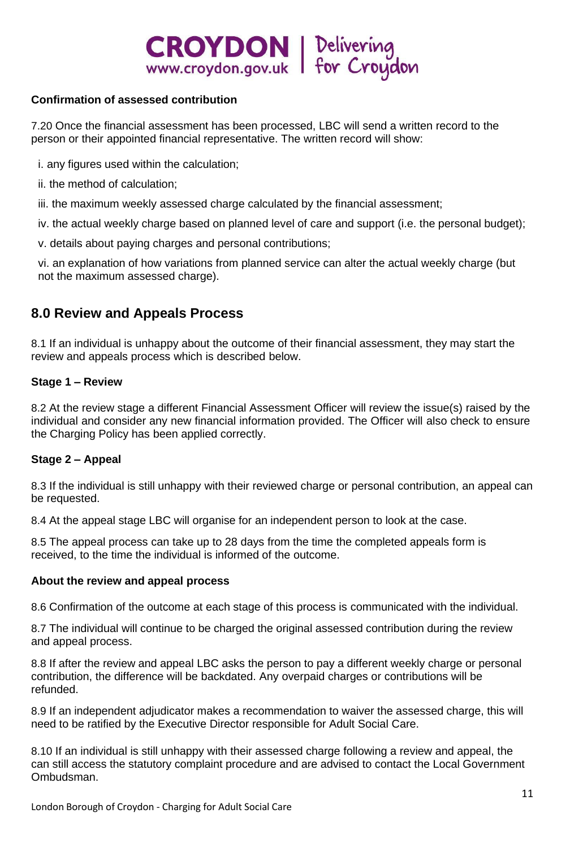# **Confirmation of assessed contribution**

7.20 Once the financial assessment has been processed, LBC will send a written record to the person or their appointed financial representative. The written record will show:

- i. any figures used within the calculation;
- ii. the method of calculation;
- iii. the maximum weekly assessed charge calculated by the financial assessment;
- iv. the actual weekly charge based on planned level of care and support (i.e. the personal budget);
- v. details about paying charges and personal contributions;

vi. an explanation of how variations from planned service can alter the actual weekly charge (but not the maximum assessed charge).

# **8.0 Review and Appeals Process**

8.1 If an individual is unhappy about the outcome of their financial assessment, they may start the review and appeals process which is described below.

# **Stage 1 – Review**

8.2 At the review stage a different Financial Assessment Officer will review the issue(s) raised by the individual and consider any new financial information provided. The Officer will also check to ensure the Charging Policy has been applied correctly.

# **Stage 2 – Appeal**

8.3 If the individual is still unhappy with their reviewed charge or personal contribution, an appeal can be requested.

8.4 At the appeal stage LBC will organise for an independent person to look at the case.

8.5 The appeal process can take up to 28 days from the time the completed appeals form is received, to the time the individual is informed of the outcome.

# **About the review and appeal process**

8.6 Confirmation of the outcome at each stage of this process is communicated with the individual.

8.7 The individual will continue to be charged the original assessed contribution during the review and appeal process.

8.8 If after the review and appeal LBC asks the person to pay a different weekly charge or personal contribution, the difference will be backdated. Any overpaid charges or contributions will be refunded.

8.9 If an independent adjudicator makes a recommendation to waiver the assessed charge, this will need to be ratified by the Executive Director responsible for Adult Social Care.

8.10 If an individual is still unhappy with their assessed charge following a review and appeal, the can still access the statutory complaint procedure and are advised to contact the Local Government Ombudsman.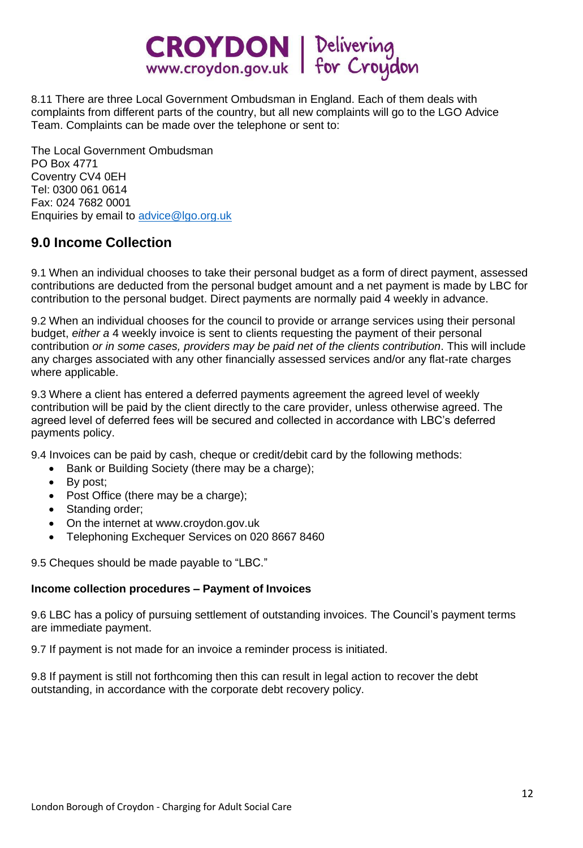

8.11 There are three Local Government Ombudsman in England. Each of them deals with complaints from different parts of the country, but all new complaints will go to the LGO Advice Team. Complaints can be made over the telephone or sent to:

The Local Government Ombudsman PO Box 4771 Coventry CV4 0EH Tel: 0300 061 0614 Fax: 024 7682 0001 Enquiries by email to [advice@lgo.org.uk](mailto:advice@lgo.org.uk)

# **9.0 Income Collection**

9.1 When an individual chooses to take their personal budget as a form of direct payment, assessed contributions are deducted from the personal budget amount and a net payment is made by LBC for contribution to the personal budget. Direct payments are normally paid 4 weekly in advance.

9.2 When an individual chooses for the council to provide or arrange services using their personal budget, *either a* 4 weekly invoice is sent to clients requesting the payment of their personal contribution *or in some cases, providers may be paid net of the clients contribution*. This will include any charges associated with any other financially assessed services and/or any flat-rate charges where applicable.

9.3 Where a client has entered a deferred payments agreement the agreed level of weekly contribution will be paid by the client directly to the care provider, unless otherwise agreed. The agreed level of deferred fees will be secured and collected in accordance with LBC's deferred payments policy.

9.4 Invoices can be paid by cash, cheque or credit/debit card by the following methods:

- Bank or Building Society (there may be a charge);
- By post;
- Post Office (there may be a charge);
- Standing order;
- On the internet at [www.croydon.gov.uk](http://www.croydon.gov.uk/)
- Telephoning Exchequer Services on 020 8667 8460

9.5 Cheques should be made payable to "LBC."

# **Income collection procedures – Payment of Invoices**

9.6 LBC has a policy of pursuing settlement of outstanding invoices. The Council's payment terms are immediate payment.

9.7 If payment is not made for an invoice a reminder process is initiated.

9.8 If payment is still not forthcoming then this can result in legal action to recover the debt outstanding, in accordance with the corporate debt recovery policy.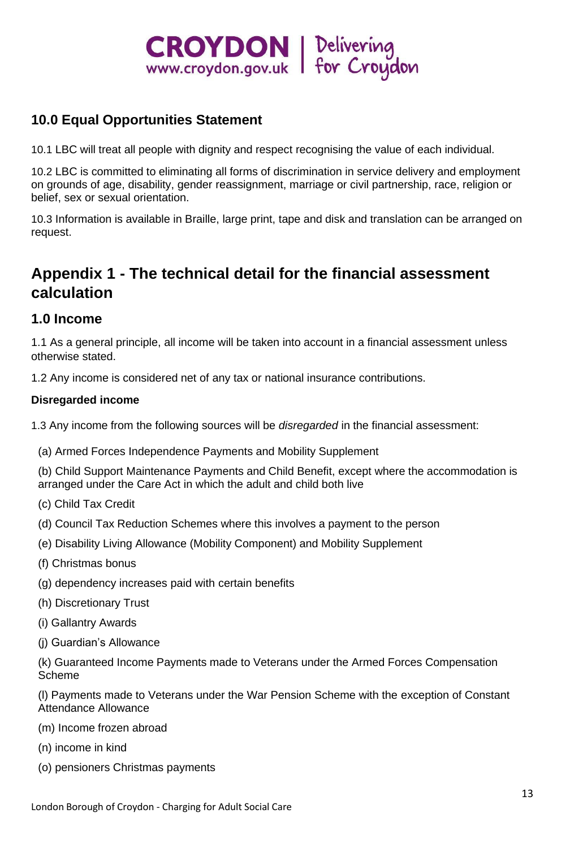# **10.0 Equal Opportunities Statement**

10.1 LBC will treat all people with dignity and respect recognising the value of each individual.

10.2 LBC is committed to eliminating all forms of discrimination in service delivery and employment on grounds of age, disability, gender reassignment, marriage or civil partnership, race, religion or belief, sex or sexual orientation.

10.3 Information is available in Braille, large print, tape and disk and translation can be arranged on request.

# **Appendix 1 - The technical detail for the financial assessment calculation**

# **1.0 Income**

1.1 As a general principle, all income will be taken into account in a financial assessment unless otherwise stated.

1.2 Any income is considered net of any tax or national insurance contributions.

# **Disregarded income**

1.3 Any income from the following sources will be *disregarded* in the financial assessment:

(a) Armed Forces Independence Payments and Mobility Supplement

(b) Child Support Maintenance Payments and Child Benefit, except where the accommodation is arranged under the Care Act in which the adult and child both live

- (c) Child Tax Credit
- (d) Council Tax Reduction Schemes where this involves a payment to the person
- (e) Disability Living Allowance (Mobility Component) and Mobility Supplement
- (f) Christmas bonus
- (g) dependency increases paid with certain benefits
- (h) Discretionary Trust
- (i) Gallantry Awards
- (j) Guardian's Allowance

(k) Guaranteed Income Payments made to Veterans under the Armed Forces Compensation Scheme

(l) Payments made to Veterans under the War Pension Scheme with the exception of Constant Attendance Allowance

- (m) Income frozen abroad
- (n) income in kind
- (o) pensioners Christmas payments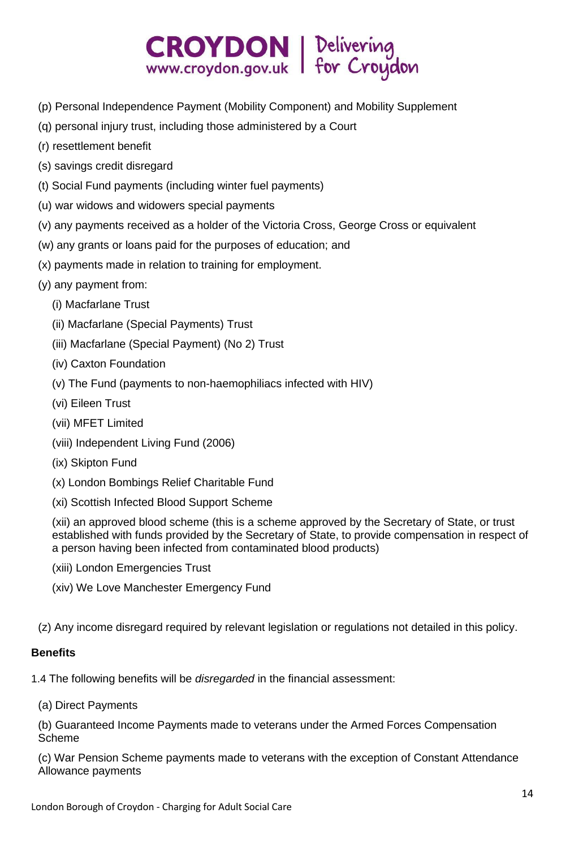- (p) Personal Independence Payment (Mobility Component) and Mobility Supplement
- (q) personal injury trust, including those administered by a Court
- (r) resettlement benefit
- (s) savings credit disregard
- (t) Social Fund payments (including winter fuel payments)
- (u) war widows and widowers special payments
- (v) any payments received as a holder of the Victoria Cross, George Cross or equivalent
- (w) any grants or loans paid for the purposes of education; and
- (x) payments made in relation to training for employment.
- (y) any payment from:
	- (i) Macfarlane Trust
	- (ii) Macfarlane (Special Payments) Trust
	- (iii) Macfarlane (Special Payment) (No 2) Trust
	- (iv) Caxton Foundation
	- (v) The Fund (payments to non-haemophiliacs infected with HIV)
	- (vi) Eileen Trust
	- (vii) MFET Limited
	- (viii) Independent Living Fund (2006)
	- (ix) Skipton Fund
	- (x) London Bombings Relief Charitable Fund
	- (xi) Scottish Infected Blood Support Scheme

(xii) an approved blood scheme (this is a scheme approved by the Secretary of State, or trust established with funds provided by the Secretary of State, to provide compensation in respect of a person having been infected from contaminated blood products)

- (xiii) London Emergencies Trust
- (xiv) We Love Manchester Emergency Fund

(z) Any income disregard required by relevant legislation or regulations not detailed in this policy.

# **Benefits**

1.4 The following benefits will be *disregarded* in the financial assessment:

(a) Direct Payments

(b) Guaranteed Income Payments made to veterans under the Armed Forces Compensation Scheme

(c) War Pension Scheme payments made to veterans with the exception of Constant Attendance Allowance payments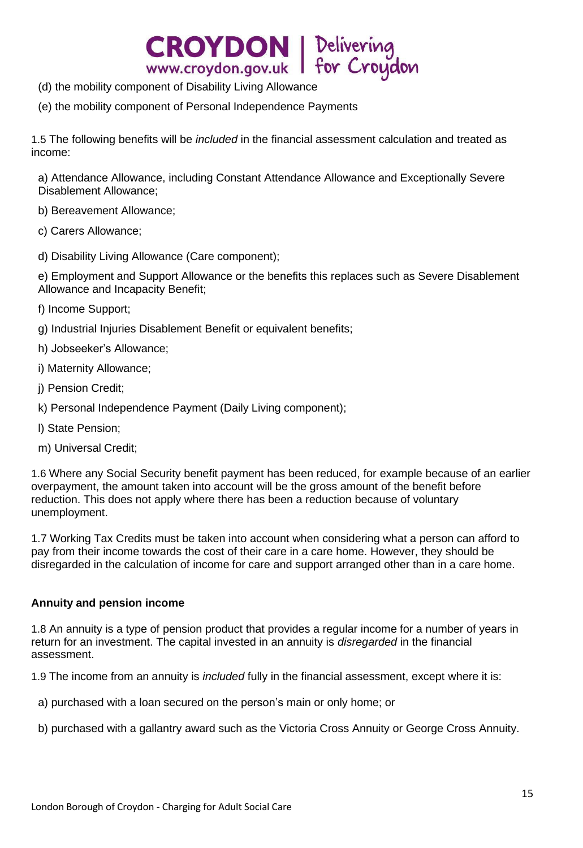- (d) the mobility component of Disability Living Allowance
- (e) the mobility component of Personal Independence Payments

1.5 The following benefits will be *included* in the financial assessment calculation and treated as income:

a) Attendance Allowance, including Constant Attendance Allowance and Exceptionally Severe Disablement Allowance;

- b) Bereavement Allowance;
- c) Carers Allowance;
- d) Disability Living Allowance (Care component);

e) Employment and Support Allowance or the benefits this replaces such as Severe Disablement Allowance and Incapacity Benefit;

- f) Income Support;
- g) Industrial Injuries Disablement Benefit or equivalent benefits;
- h) Jobseeker's Allowance;
- i) Maternity Allowance;
- j) Pension Credit;
- k) Personal Independence Payment (Daily Living component);
- l) State Pension;
- m) Universal Credit;

1.6 Where any Social Security benefit payment has been reduced, for example because of an earlier overpayment, the amount taken into account will be the gross amount of the benefit before reduction. This does not apply where there has been a reduction because of voluntary unemployment.

1.7 Working Tax Credits must be taken into account when considering what a person can afford to pay from their income towards the cost of their care in a care home. However, they should be disregarded in the calculation of income for care and support arranged other than in a care home.

#### **Annuity and pension income**

1.8 An annuity is a type of pension product that provides a regular income for a number of years in return for an investment. The capital invested in an annuity is *disregarded* in the financial assessment.

1.9 The income from an annuity is *included* fully in the financial assessment, except where it is:

- a) purchased with a loan secured on the person's main or only home; or
- b) purchased with a gallantry award such as the Victoria Cross Annuity or George Cross Annuity.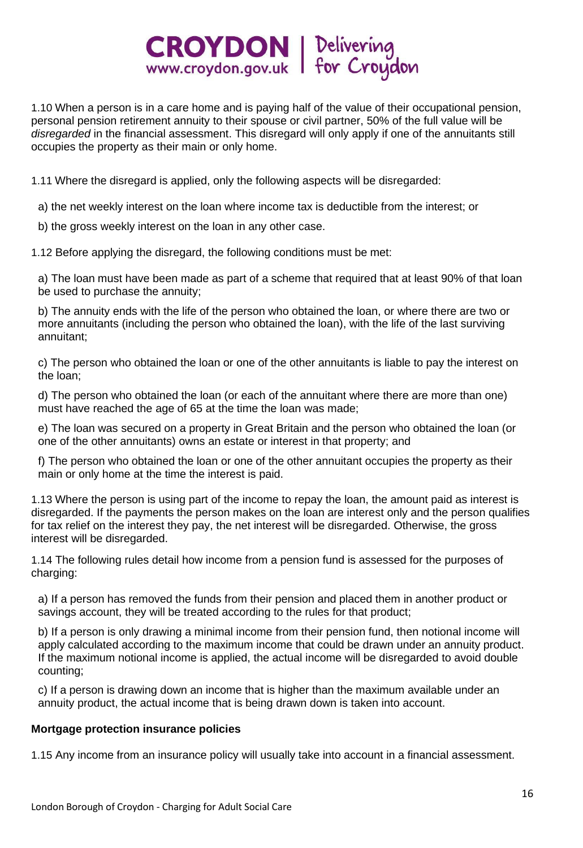1.10 When a person is in a care home and is paying half of the value of their occupational pension, personal pension retirement annuity to their spouse or civil partner, 50% of the full value will be *disregarded* in the financial assessment. This disregard will only apply if one of the annuitants still occupies the property as their main or only home.

1.11 Where the disregard is applied, only the following aspects will be disregarded:

a) the net weekly interest on the loan where income tax is deductible from the interest; or

b) the gross weekly interest on the loan in any other case.

1.12 Before applying the disregard, the following conditions must be met:

a) The loan must have been made as part of a scheme that required that at least 90% of that loan be used to purchase the annuity;

b) The annuity ends with the life of the person who obtained the loan, or where there are two or more annuitants (including the person who obtained the loan), with the life of the last surviving annuitant;

c) The person who obtained the loan or one of the other annuitants is liable to pay the interest on the loan;

d) The person who obtained the loan (or each of the annuitant where there are more than one) must have reached the age of 65 at the time the loan was made;

e) The loan was secured on a property in Great Britain and the person who obtained the loan (or one of the other annuitants) owns an estate or interest in that property; and

f) The person who obtained the loan or one of the other annuitant occupies the property as their main or only home at the time the interest is paid.

1.13 Where the person is using part of the income to repay the loan, the amount paid as interest is disregarded. If the payments the person makes on the loan are interest only and the person qualifies for tax relief on the interest they pay, the net interest will be disregarded. Otherwise, the gross interest will be disregarded.

1.14 The following rules detail how income from a pension fund is assessed for the purposes of charging:

a) If a person has removed the funds from their pension and placed them in another product or savings account, they will be treated according to the rules for that product;

b) If a person is only drawing a minimal income from their pension fund, then notional income will apply calculated according to the maximum income that could be drawn under an annuity product. If the maximum notional income is applied, the actual income will be disregarded to avoid double counting;

c) If a person is drawing down an income that is higher than the maximum available under an annuity product, the actual income that is being drawn down is taken into account.

# **Mortgage protection insurance policies**

1.15 Any income from an insurance policy will usually take into account in a financial assessment.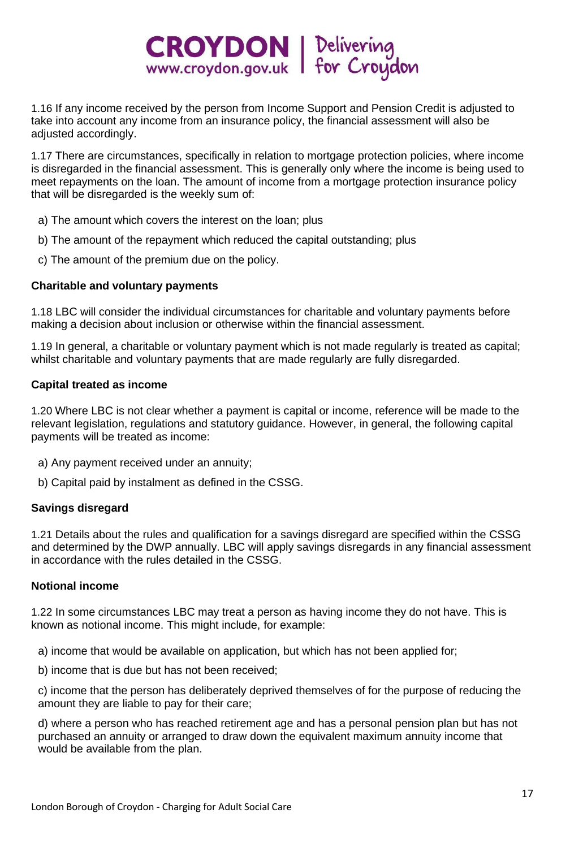

1.16 If any income received by the person from Income Support and Pension Credit is adjusted to take into account any income from an insurance policy, the financial assessment will also be adjusted accordingly.

1.17 There are circumstances, specifically in relation to mortgage protection policies, where income is disregarded in the financial assessment. This is generally only where the income is being used to meet repayments on the loan. The amount of income from a mortgage protection insurance policy that will be disregarded is the weekly sum of:

- a) The amount which covers the interest on the loan; plus
- b) The amount of the repayment which reduced the capital outstanding; plus
- c) The amount of the premium due on the policy.

#### **Charitable and voluntary payments**

1.18 LBC will consider the individual circumstances for charitable and voluntary payments before making a decision about inclusion or otherwise within the financial assessment.

1.19 In general, a charitable or voluntary payment which is not made regularly is treated as capital; whilst charitable and voluntary payments that are made regularly are fully disregarded.

#### **Capital treated as income**

1.20 Where LBC is not clear whether a payment is capital or income, reference will be made to the relevant legislation, regulations and statutory guidance. However, in general, the following capital payments will be treated as income:

- a) Any payment received under an annuity;
- b) Capital paid by instalment as defined in the CSSG.

# **Savings disregard**

1.21 Details about the rules and qualification for a savings disregard are specified within the CSSG and determined by the DWP annually. LBC will apply savings disregards in any financial assessment in accordance with the rules detailed in the CSSG.

#### **Notional income**

1.22 In some circumstances LBC may treat a person as having income they do not have. This is known as notional income. This might include, for example:

a) income that would be available on application, but which has not been applied for;

b) income that is due but has not been received;

c) income that the person has deliberately deprived themselves of for the purpose of reducing the amount they are liable to pay for their care;

d) where a person who has reached retirement age and has a personal pension plan but has not purchased an annuity or arranged to draw down the equivalent maximum annuity income that would be available from the plan.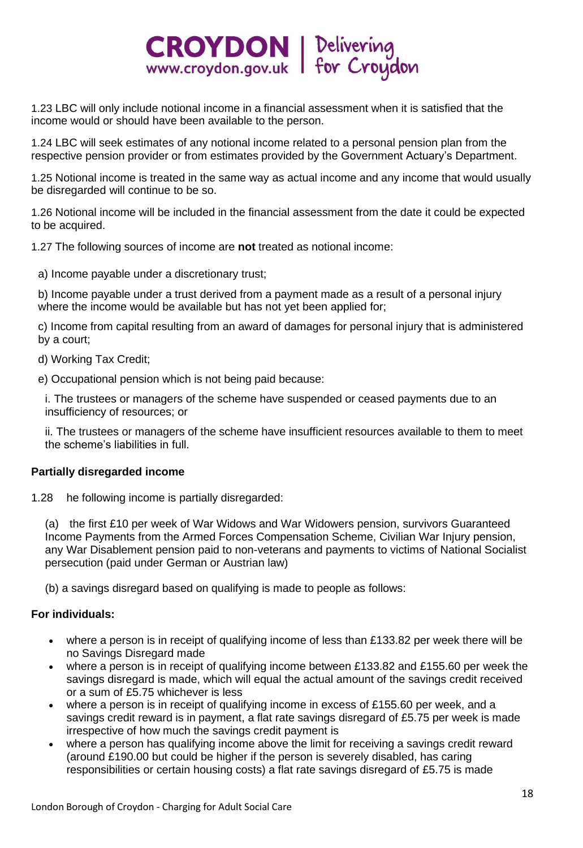1.23 LBC will only include notional income in a financial assessment when it is satisfied that the income would or should have been available to the person.

1.24 LBC will seek estimates of any notional income related to a personal pension plan from the respective pension provider or from estimates provided by the Government Actuary's Department.

1.25 Notional income is treated in the same way as actual income and any income that would usually be disregarded will continue to be so.

1.26 Notional income will be included in the financial assessment from the date it could be expected to be acquired.

1.27 The following sources of income are **not** treated as notional income:

a) Income payable under a discretionary trust;

b) Income payable under a trust derived from a payment made as a result of a personal injury where the income would be available but has not yet been applied for;

c) Income from capital resulting from an award of damages for personal injury that is administered by a court;

d) Working Tax Credit;

e) Occupational pension which is not being paid because:

i. The trustees or managers of the scheme have suspended or ceased payments due to an insufficiency of resources; or

ii. The trustees or managers of the scheme have insufficient resources available to them to meet the scheme's liabilities in full.

# **Partially disregarded income**

1.28 he following income is partially disregarded:

(a) the first £10 per week of War Widows and War Widowers pension, survivors Guaranteed Income Payments from the Armed Forces Compensation Scheme, Civilian War Injury pension, any War Disablement pension paid to non-veterans and payments to victims of National Socialist persecution (paid under German or Austrian law)

(b) a savings disregard based on qualifying is made to people as follows:

# **For individuals:**

- where a person is in receipt of qualifying income of less than £133.82 per week there will be no Savings Disregard made
- where a person is in receipt of qualifying income between £133.82 and £155.60 per week the savings disregard is made, which will equal the actual amount of the savings credit received or a sum of £5.75 whichever is less
- where a person is in receipt of qualifying income in excess of £155.60 per week, and a savings credit reward is in payment, a flat rate savings disregard of £5.75 per week is made irrespective of how much the savings credit payment is
- where a person has qualifying income above the limit for receiving a savings credit reward (around £190.00 but could be higher if the person is severely disabled, has caring responsibilities or certain housing costs) a flat rate savings disregard of £5.75 is made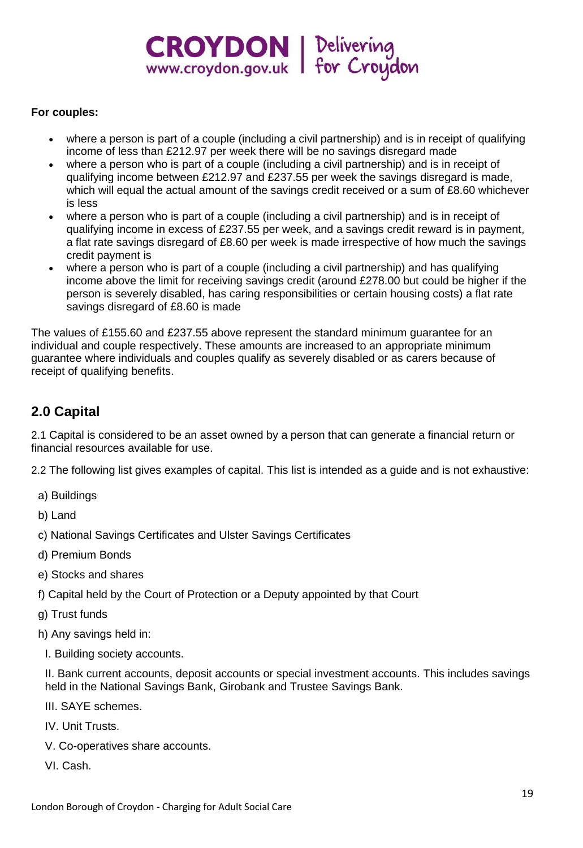# **For couples:**

- where a person is part of a couple (including a civil partnership) and is in receipt of qualifying income of less than £212.97 per week there will be no savings disregard made
- where a person who is part of a couple (including a civil partnership) and is in receipt of qualifying income between £212.97 and £237.55 per week the savings disregard is made, which will equal the actual amount of the savings credit received or a sum of £8.60 whichever is less
- where a person who is part of a couple (including a civil partnership) and is in receipt of qualifying income in excess of £237.55 per week, and a savings credit reward is in payment, a flat rate savings disregard of £8.60 per week is made irrespective of how much the savings credit payment is
- where a person who is part of a couple (including a civil partnership) and has qualifying income above the limit for receiving savings credit (around £278.00 but could be higher if the person is severely disabled, has caring responsibilities or certain housing costs) a flat rate savings disregard of £8.60 is made

The values of £155.60 and £237.55 above represent the standard minimum guarantee for an individual and couple respectively. These amounts are increased to an appropriate minimum guarantee where individuals and couples qualify as severely disabled or as carers because of receipt of qualifying benefits.

# **2.0 Capital**

2.1 Capital is considered to be an asset owned by a person that can generate a financial return or financial resources available for use.

2.2 The following list gives examples of capital. This list is intended as a guide and is not exhaustive:

- a) Buildings
- b) Land
- c) National Savings Certificates and Ulster Savings Certificates
- d) Premium Bonds
- e) Stocks and shares
- f) Capital held by the Court of Protection or a Deputy appointed by that Court
- g) Trust funds
- h) Any savings held in:
	- I. Building society accounts.

II. Bank current accounts, deposit accounts or special investment accounts. This includes savings held in the National Savings Bank, Girobank and Trustee Savings Bank.

- III. SAYE schemes.
- IV. Unit Trusts.
- V. Co-operatives share accounts.
- VI. Cash.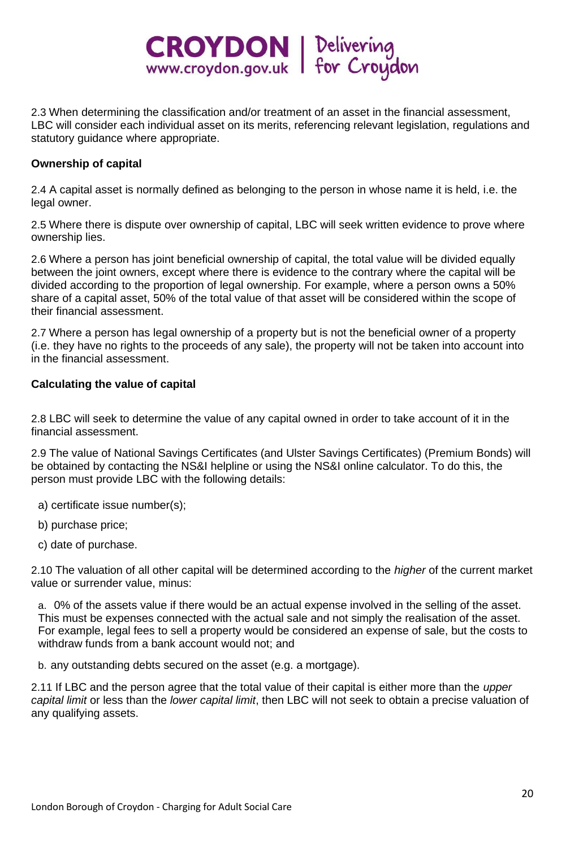

2.3 When determining the classification and/or treatment of an asset in the financial assessment, LBC will consider each individual asset on its merits, referencing relevant legislation, regulations and statutory guidance where appropriate.

#### **Ownership of capital**

2.4 A capital asset is normally defined as belonging to the person in whose name it is held, i.e. the legal owner.

2.5 Where there is dispute over ownership of capital, LBC will seek written evidence to prove where ownership lies.

2.6 Where a person has joint beneficial ownership of capital, the total value will be divided equally between the joint owners, except where there is evidence to the contrary where the capital will be divided according to the proportion of legal ownership. For example, where a person owns a 50% share of a capital asset, 50% of the total value of that asset will be considered within the scope of their financial assessment.

2.7 Where a person has legal ownership of a property but is not the beneficial owner of a property (i.e. they have no rights to the proceeds of any sale), the property will not be taken into account into in the financial assessment.

# **Calculating the value of capital**

2.8 LBC will seek to determine the value of any capital owned in order to take account of it in the financial assessment.

2.9 The value of National Savings Certificates (and Ulster Savings Certificates) (Premium Bonds) will be obtained by contacting the NS&I helpline or using the NS&I online calculator. To do this, the person must provide LBC with the following details:

- a) certificate issue number(s);
- b) purchase price;
- c) date of purchase.

2.10 The valuation of all other capital will be determined according to the *higher* of the current market value or surrender value, minus:

a. 0% of the assets value if there would be an actual expense involved in the selling of the asset. This must be expenses connected with the actual sale and not simply the realisation of the asset. For example, legal fees to sell a property would be considered an expense of sale, but the costs to withdraw funds from a bank account would not; and

b. any outstanding debts secured on the asset (e.g. a mortgage).

2.11 If LBC and the person agree that the total value of their capital is either more than the *upper capital limit* or less than the *lower capital limit*, then LBC will not seek to obtain a precise valuation of any qualifying assets.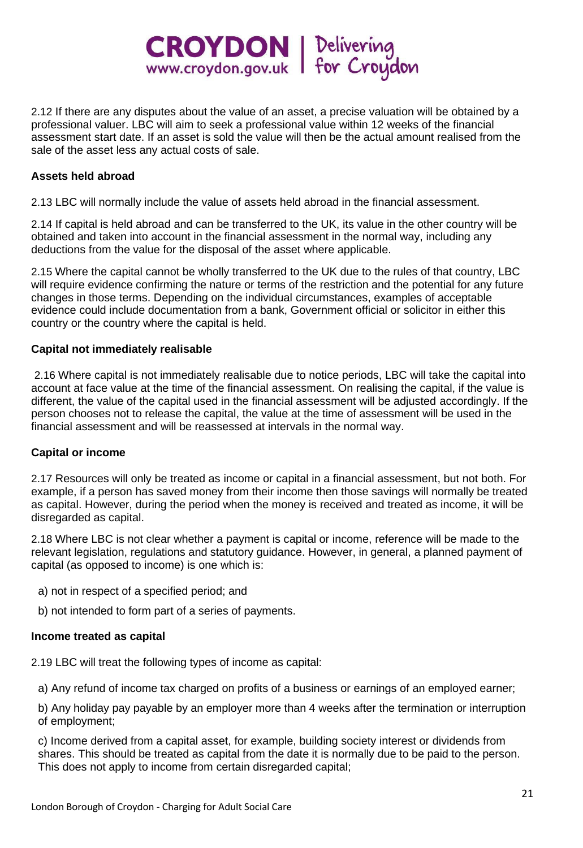2.12 If there are any disputes about the value of an asset, a precise valuation will be obtained by a professional valuer. LBC will aim to seek a professional value within 12 weeks of the financial assessment start date. If an asset is sold the value will then be the actual amount realised from the sale of the asset less any actual costs of sale.

# **Assets held abroad**

2.13 LBC will normally include the value of assets held abroad in the financial assessment.

2.14 If capital is held abroad and can be transferred to the UK, its value in the other country will be obtained and taken into account in the financial assessment in the normal way, including any deductions from the value for the disposal of the asset where applicable.

2.15 Where the capital cannot be wholly transferred to the UK due to the rules of that country, LBC will require evidence confirming the nature or terms of the restriction and the potential for any future changes in those terms. Depending on the individual circumstances, examples of acceptable evidence could include documentation from a bank, Government official or solicitor in either this country or the country where the capital is held.

# **Capital not immediately realisable**

2.16 Where capital is not immediately realisable due to notice periods, LBC will take the capital into account at face value at the time of the financial assessment. On realising the capital, if the value is different, the value of the capital used in the financial assessment will be adjusted accordingly. If the person chooses not to release the capital, the value at the time of assessment will be used in the financial assessment and will be reassessed at intervals in the normal way.

# **Capital or income**

2.17 Resources will only be treated as income or capital in a financial assessment, but not both. For example, if a person has saved money from their income then those savings will normally be treated as capital. However, during the period when the money is received and treated as income, it will be disregarded as capital.

2.18 Where LBC is not clear whether a payment is capital or income, reference will be made to the relevant legislation, regulations and statutory guidance. However, in general, a planned payment of capital (as opposed to income) is one which is:

- a) not in respect of a specified period; and
- b) not intended to form part of a series of payments.

# **Income treated as capital**

2.19 LBC will treat the following types of income as capital:

a) Any refund of income tax charged on profits of a business or earnings of an employed earner;

b) Any holiday pay payable by an employer more than 4 weeks after the termination or interruption of employment;

c) Income derived from a capital asset, for example, building society interest or dividends from shares. This should be treated as capital from the date it is normally due to be paid to the person. This does not apply to income from certain disregarded capital;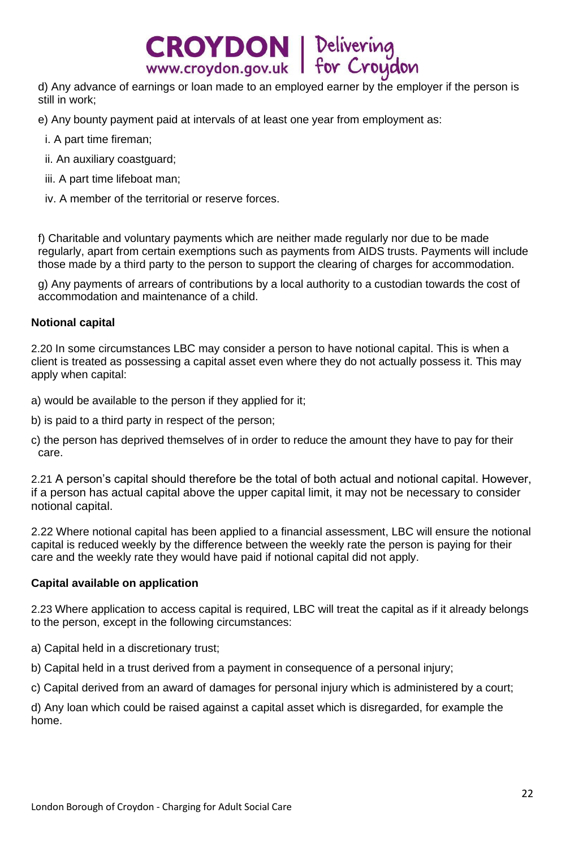d) Any advance of earnings or loan made to an employed earner by the employer if the person is still in work;

e) Any bounty payment paid at intervals of at least one year from employment as:

- i. A part time fireman;
- ii. An auxiliary coastguard;
- iii. A part time lifeboat man;
- iv. A member of the territorial or reserve forces.

f) Charitable and voluntary payments which are neither made regularly nor due to be made regularly, apart from certain exemptions such as payments from AIDS trusts. Payments will include those made by a third party to the person to support the clearing of charges for accommodation.

g) Any payments of arrears of contributions by a local authority to a custodian towards the cost of accommodation and maintenance of a child.

#### **Notional capital**

2.20 In some circumstances LBC may consider a person to have notional capital. This is when a client is treated as possessing a capital asset even where they do not actually possess it. This may apply when capital:

- a) would be available to the person if they applied for it;
- b) is paid to a third party in respect of the person;
- c) the person has deprived themselves of in order to reduce the amount they have to pay for their care.

2.21 A person's capital should therefore be the total of both actual and notional capital. However, if a person has actual capital above the upper capital limit, it may not be necessary to consider notional capital.

2.22 Where notional capital has been applied to a financial assessment, LBC will ensure the notional capital is reduced weekly by the difference between the weekly rate the person is paying for their care and the weekly rate they would have paid if notional capital did not apply.

#### **Capital available on application**

2.23 Where application to access capital is required, LBC will treat the capital as if it already belongs to the person, except in the following circumstances:

- a) Capital held in a discretionary trust;
- b) Capital held in a trust derived from a payment in consequence of a personal injury;
- c) Capital derived from an award of damages for personal injury which is administered by a court;

d) Any loan which could be raised against a capital asset which is disregarded, for example the home.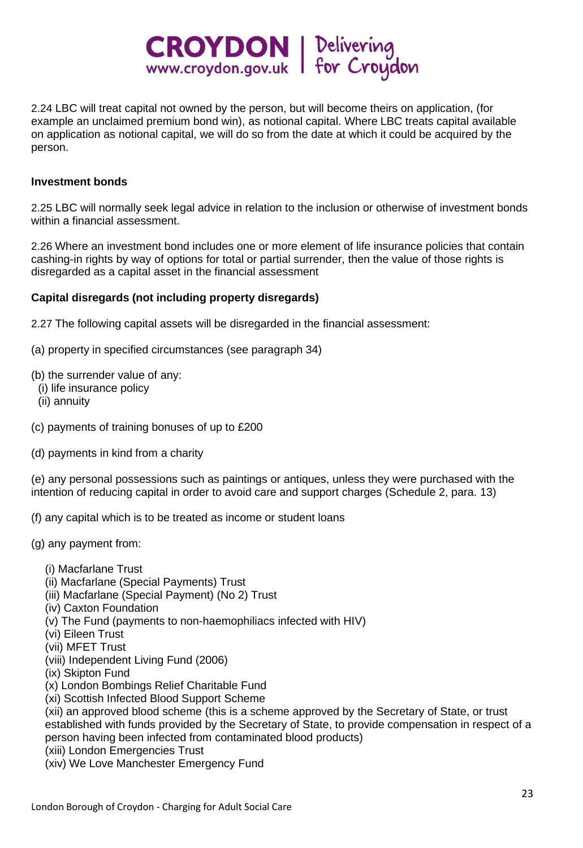2.24 LBC will treat capital not owned by the person, but will become theirs on application, (for example an unclaimed premium bond win), as notional capital. Where LBC treats capital available on application as notional capital, we will do so from the date at which it could be acquired by the person.

# **Investment bonds**

2.25 LBC will normally seek legal advice in relation to the inclusion or otherwise of investment bonds within a financial assessment.

2.26 Where an investment bond includes one or more element of life insurance policies that contain cashing-in rights by way of options for total or partial surrender, then the value of those rights is disregarded as a capital asset in the financial assessment

# **Capital disregards (not including property disregards)**

2.27 The following capital assets will be disregarded in the financial assessment:

(a) property in specified circumstances (see paragraph 34)

(b) the surrender value of any:

- (i) life insurance policy
- (ii) annuity
- (c) payments of training bonuses of up to £200
- (d) payments in kind from a charity

(e) any personal possessions such as paintings or antiques, unless they were purchased with the intention of reducing capital in order to avoid care and support charges (Schedule 2, para. 13)

(f) any capital which is to be treated as income or student loans

- (g) any payment from:
	- (i) Macfarlane Trust
	- (ii) Macfarlane (Special Payments) Trust
	- (iii) Macfarlane (Special Payment) (No 2) Trust
	- (iv) Caxton Foundation
	- (v) The Fund (payments to non-haemophiliacs infected with HIV)
	- (vi) Eileen Trust
	- (vii) MFET Trust
	- (viii) Independent Living Fund (2006)
	- (ix) Skipton Fund
	- (x) London Bombings Relief Charitable Fund
	- (xi) Scottish Infected Blood Support Scheme

(xii) an approved blood scheme (this is a scheme approved by the Secretary of State, or trust established with funds provided by the Secretary of State, to provide compensation in respect of a person having been infected from contaminated blood products)

- (xiii) London Emergencies Trust
- (xiv) We Love Manchester Emergency Fund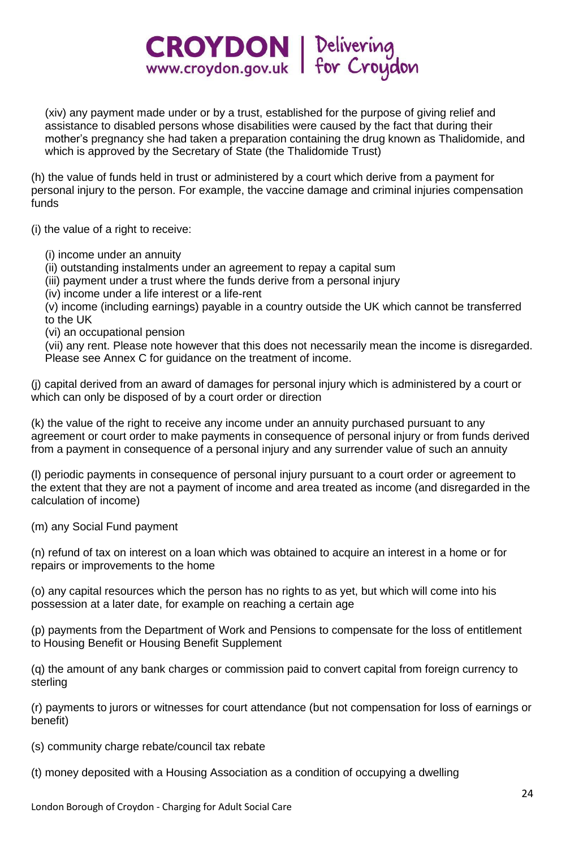(xiv) any payment made under or by a trust, established for the purpose of giving relief and assistance to disabled persons whose disabilities were caused by the fact that during their mother's pregnancy she had taken a preparation containing the drug known as Thalidomide, and which is approved by the Secretary of State (the Thalidomide Trust)

(h) the value of funds held in trust or administered by a court which derive from a payment for personal injury to the person. For example, the vaccine damage and criminal injuries compensation funds

(i) the value of a right to receive:

- (i) income under an annuity
- (ii) outstanding instalments under an agreement to repay a capital sum
- (iii) payment under a trust where the funds derive from a personal injury
- (iv) income under a life interest or a life-rent

(v) income (including earnings) payable in a country outside the UK which cannot be transferred to the UK

(vi) an occupational pension

(vii) any rent. Please note however that this does not necessarily mean the income is disregarded. Please see Annex C for guidance on the treatment of income.

(j) capital derived from an award of damages for personal injury which is administered by a court or which can only be disposed of by a court order or direction

(k) the value of the right to receive any income under an annuity purchased pursuant to any agreement or court order to make payments in consequence of personal injury or from funds derived from a payment in consequence of a personal injury and any surrender value of such an annuity

(l) periodic payments in consequence of personal injury pursuant to a court order or agreement to the extent that they are not a payment of income and area treated as income (and disregarded in the calculation of income)

(m) any Social Fund payment

(n) refund of tax on interest on a loan which was obtained to acquire an interest in a home or for repairs or improvements to the home

(o) any capital resources which the person has no rights to as yet, but which will come into his possession at a later date, for example on reaching a certain age

(p) payments from the Department of Work and Pensions to compensate for the loss of entitlement to Housing Benefit or Housing Benefit Supplement

(q) the amount of any bank charges or commission paid to convert capital from foreign currency to sterling

(r) payments to jurors or witnesses for court attendance (but not compensation for loss of earnings or benefit)

(s) community charge rebate/council tax rebate

(t) money deposited with a Housing Association as a condition of occupying a dwelling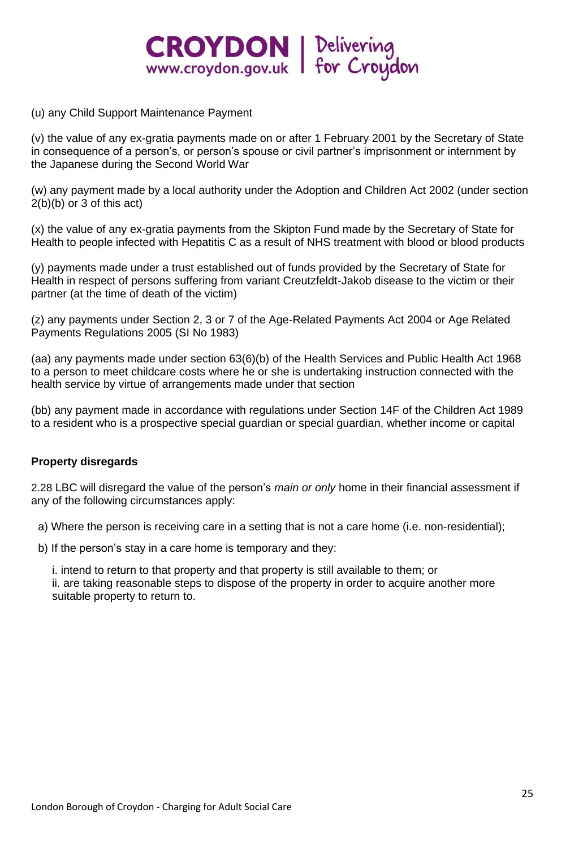#### (u) any Child Support Maintenance Payment

(v) the value of any ex-gratia payments made on or after 1 February 2001 by the Secretary of State in consequence of a person's, or person's spouse or civil partner's imprisonment or internment by the Japanese during the Second World War

(w) any payment made by a local authority under the Adoption and Children Act 2002 (under section 2(b)(b) or 3 of this act)

(x) the value of any ex-gratia payments from the Skipton Fund made by the Secretary of State for Health to people infected with Hepatitis C as a result of NHS treatment with blood or blood products

(y) payments made under a trust established out of funds provided by the Secretary of State for Health in respect of persons suffering from variant Creutzfeldt-Jakob disease to the victim or their partner (at the time of death of the victim)

(z) any payments under Section 2, 3 or 7 of the Age-Related Payments Act 2004 or Age Related Payments Regulations 2005 (SI No 1983)

(aa) any payments made under section 63(6)(b) of the Health Services and Public Health Act 1968 to a person to meet childcare costs where he or she is undertaking instruction connected with the health service by virtue of arrangements made under that section

(bb) any payment made in accordance with regulations under Section 14F of the Children Act 1989 to a resident who is a prospective special guardian or special guardian, whether income or capital

# **Property disregards**

2.28 LBC will disregard the value of the person's *main or only* home in their financial assessment if any of the following circumstances apply:

a) Where the person is receiving care in a setting that is not a care home (i.e. non-residential);

b) If the person's stay in a care home is temporary and they:

i. intend to return to that property and that property is still available to them; or

ii. are taking reasonable steps to dispose of the property in order to acquire another more suitable property to return to.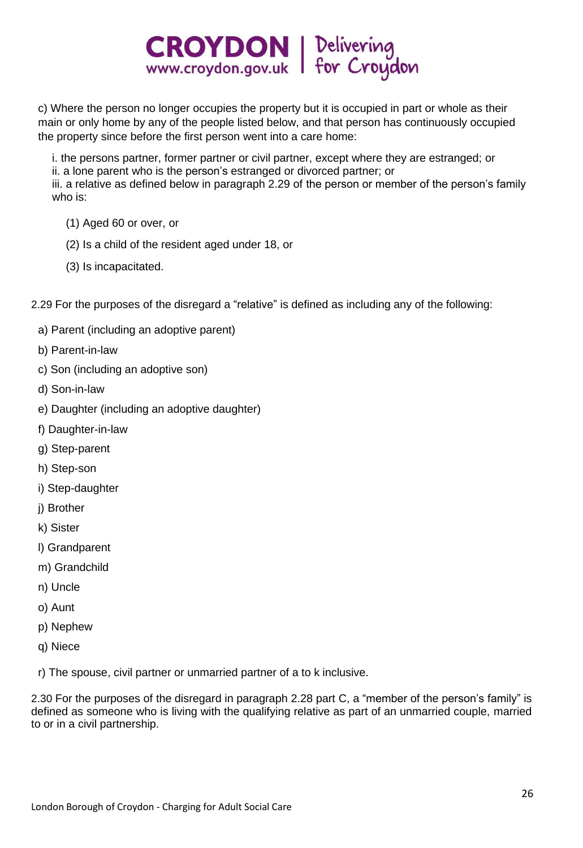

c) Where the person no longer occupies the property but it is occupied in part or whole as their main or only home by any of the people listed below, and that person has continuously occupied the property since before the first person went into a care home:

i. the persons partner, former partner or civil partner, except where they are estranged; or ii. a lone parent who is the person's estranged or divorced partner; or

iii. a relative as defined below in paragraph 2.29 of the person or member of the person's family who is:

- (1) Aged 60 or over, or
- (2) Is a child of the resident aged under 18, or
- (3) Is incapacitated.

2.29 For the purposes of the disregard a "relative" is defined as including any of the following:

- a) Parent (including an adoptive parent)
- b) Parent-in-law
- c) Son (including an adoptive son)
- d) Son-in-law
- e) Daughter (including an adoptive daughter)
- f) Daughter-in-law
- g) Step-parent
- h) Step-son
- i) Step-daughter
- j) Brother
- k) Sister
- l) Grandparent
- m) Grandchild
- n) Uncle
- o) Aunt
- p) Nephew
- q) Niece

r) The spouse, civil partner or unmarried partner of a to k inclusive.

2.30 For the purposes of the disregard in paragraph 2.28 part C, a "member of the person's family" is defined as someone who is living with the qualifying relative as part of an unmarried couple, married to or in a civil partnership.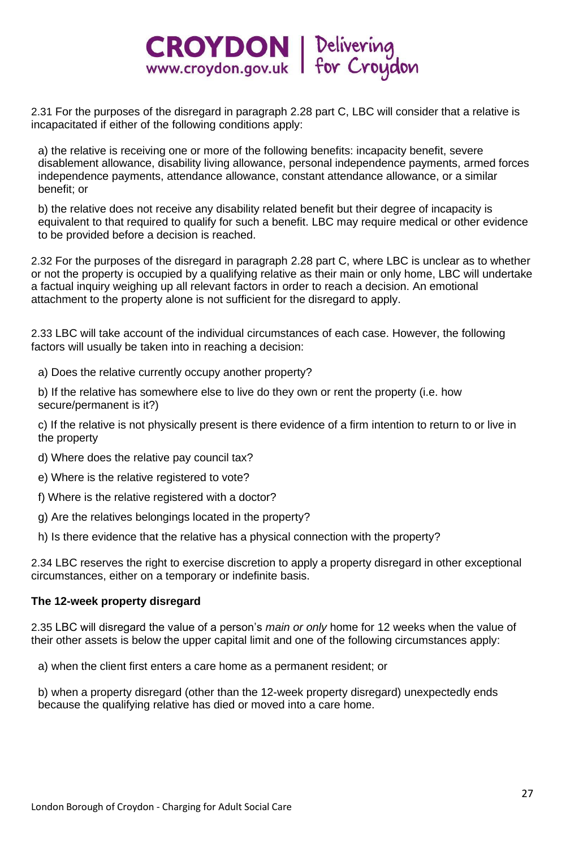2.31 For the purposes of the disregard in paragraph 2.28 part C, LBC will consider that a relative is incapacitated if either of the following conditions apply:

a) the relative is receiving one or more of the following benefits: incapacity benefit, severe disablement allowance, disability living allowance, personal independence payments, armed forces independence payments, attendance allowance, constant attendance allowance, or a similar benefit; or

b) the relative does not receive any disability related benefit but their degree of incapacity is equivalent to that required to qualify for such a benefit. LBC may require medical or other evidence to be provided before a decision is reached.

2.32 For the purposes of the disregard in paragraph 2.28 part C, where LBC is unclear as to whether or not the property is occupied by a qualifying relative as their main or only home, LBC will undertake a factual inquiry weighing up all relevant factors in order to reach a decision. An emotional attachment to the property alone is not sufficient for the disregard to apply.

2.33 LBC will take account of the individual circumstances of each case. However, the following factors will usually be taken into in reaching a decision:

a) Does the relative currently occupy another property?

b) If the relative has somewhere else to live do they own or rent the property (i.e. how secure/permanent is it?)

c) If the relative is not physically present is there evidence of a firm intention to return to or live in the property

- d) Where does the relative pay council tax?
- e) Where is the relative registered to vote?
- f) Where is the relative registered with a doctor?
- g) Are the relatives belongings located in the property?
- h) Is there evidence that the relative has a physical connection with the property?

2.34 LBC reserves the right to exercise discretion to apply a property disregard in other exceptional circumstances, either on a temporary or indefinite basis.

# **The 12-week property disregard**

2.35 LBC will disregard the value of a person's *main or only* home for 12 weeks when the value of their other assets is below the upper capital limit and one of the following circumstances apply:

a) when the client first enters a care home as a permanent resident; or

b) when a property disregard (other than the 12-week property disregard) unexpectedly ends because the qualifying relative has died or moved into a care home.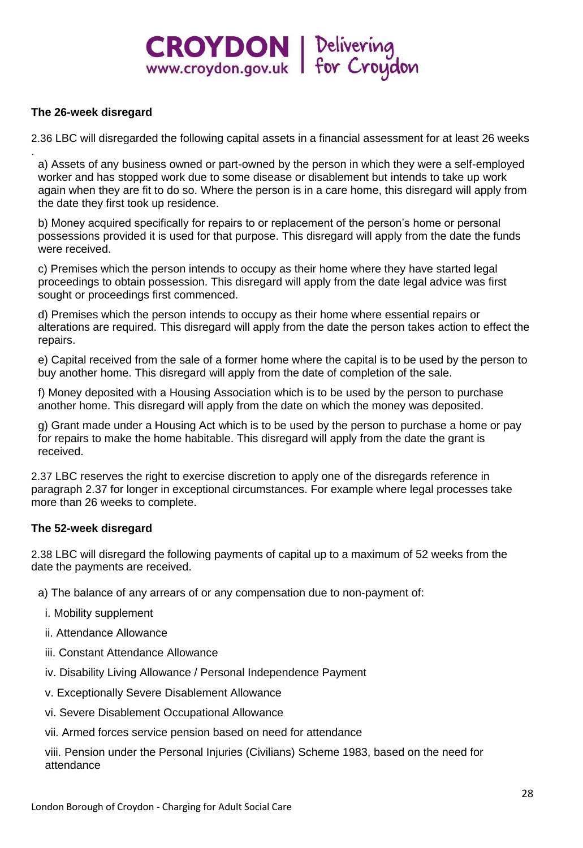# **The 26-week disregard**

.

2.36 LBC will disregarded the following capital assets in a financial assessment for at least 26 weeks

a) Assets of any business owned or part-owned by the person in which they were a self-employed worker and has stopped work due to some disease or disablement but intends to take up work again when they are fit to do so. Where the person is in a care home, this disregard will apply from the date they first took up residence.

b) Money acquired specifically for repairs to or replacement of the person's home or personal possessions provided it is used for that purpose. This disregard will apply from the date the funds were received.

c) Premises which the person intends to occupy as their home where they have started legal proceedings to obtain possession. This disregard will apply from the date legal advice was first sought or proceedings first commenced.

d) Premises which the person intends to occupy as their home where essential repairs or alterations are required. This disregard will apply from the date the person takes action to effect the repairs.

e) Capital received from the sale of a former home where the capital is to be used by the person to buy another home. This disregard will apply from the date of completion of the sale.

f) Money deposited with a Housing Association which is to be used by the person to purchase another home. This disregard will apply from the date on which the money was deposited.

g) Grant made under a Housing Act which is to be used by the person to purchase a home or pay for repairs to make the home habitable. This disregard will apply from the date the grant is received.

2.37 LBC reserves the right to exercise discretion to apply one of the disregards reference in paragraph 2.37 for longer in exceptional circumstances. For example where legal processes take more than 26 weeks to complete.

# **The 52-week disregard**

2.38 LBC will disregard the following payments of capital up to a maximum of 52 weeks from the date the payments are received.

a) The balance of any arrears of or any compensation due to non-payment of:

- i. Mobility supplement
- ii. Attendance Allowance
- iii. Constant Attendance Allowance
- iv. Disability Living Allowance / Personal Independence Payment
- v. Exceptionally Severe Disablement Allowance
- vi. Severe Disablement Occupational Allowance
- vii. Armed forces service pension based on need for attendance

viii. Pension under the Personal Injuries (Civilians) Scheme 1983, based on the need for attendance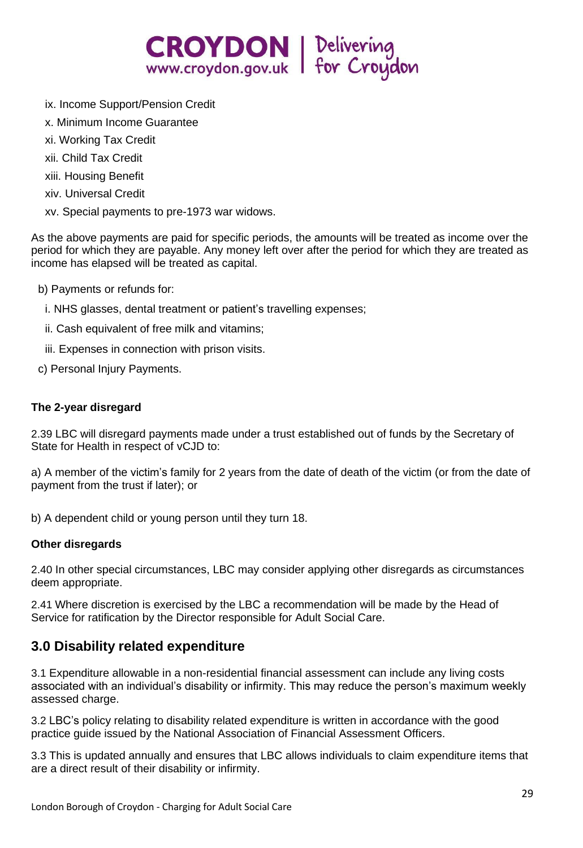

- ix. Income Support/Pension Credit
- x. Minimum Income Guarantee
- xi. Working Tax Credit
- xii. Child Tax Credit
- xiii. Housing Benefit
- xiv. Universal Credit
- xv. Special payments to pre-1973 war widows.

As the above payments are paid for specific periods, the amounts will be treated as income over the period for which they are payable. Any money left over after the period for which they are treated as income has elapsed will be treated as capital.

- b) Payments or refunds for:
	- i. NHS glasses, dental treatment or patient's travelling expenses;
	- ii. Cash equivalent of free milk and vitamins;
	- iii. Expenses in connection with prison visits.
- c) Personal Injury Payments.

#### **The 2-year disregard**

2.39 LBC will disregard payments made under a trust established out of funds by the Secretary of State for Health in respect of vCJD to:

a) A member of the victim's family for 2 years from the date of death of the victim (or from the date of payment from the trust if later); or

b) A dependent child or young person until they turn 18.

#### **Other disregards**

2.40 In other special circumstances, LBC may consider applying other disregards as circumstances deem appropriate.

2.41 Where discretion is exercised by the LBC a recommendation will be made by the Head of Service for ratification by the Director responsible for Adult Social Care.

# **3.0 Disability related expenditure**

3.1 Expenditure allowable in a non-residential financial assessment can include any living costs associated with an individual's disability or infirmity. This may reduce the person's maximum weekly assessed charge.

3.2 LBC's policy relating to disability related expenditure is written in accordance with the good practice guide issued by the National Association of Financial Assessment Officers.

3.3 This is updated annually and ensures that LBC allows individuals to claim expenditure items that are a direct result of their disability or infirmity.